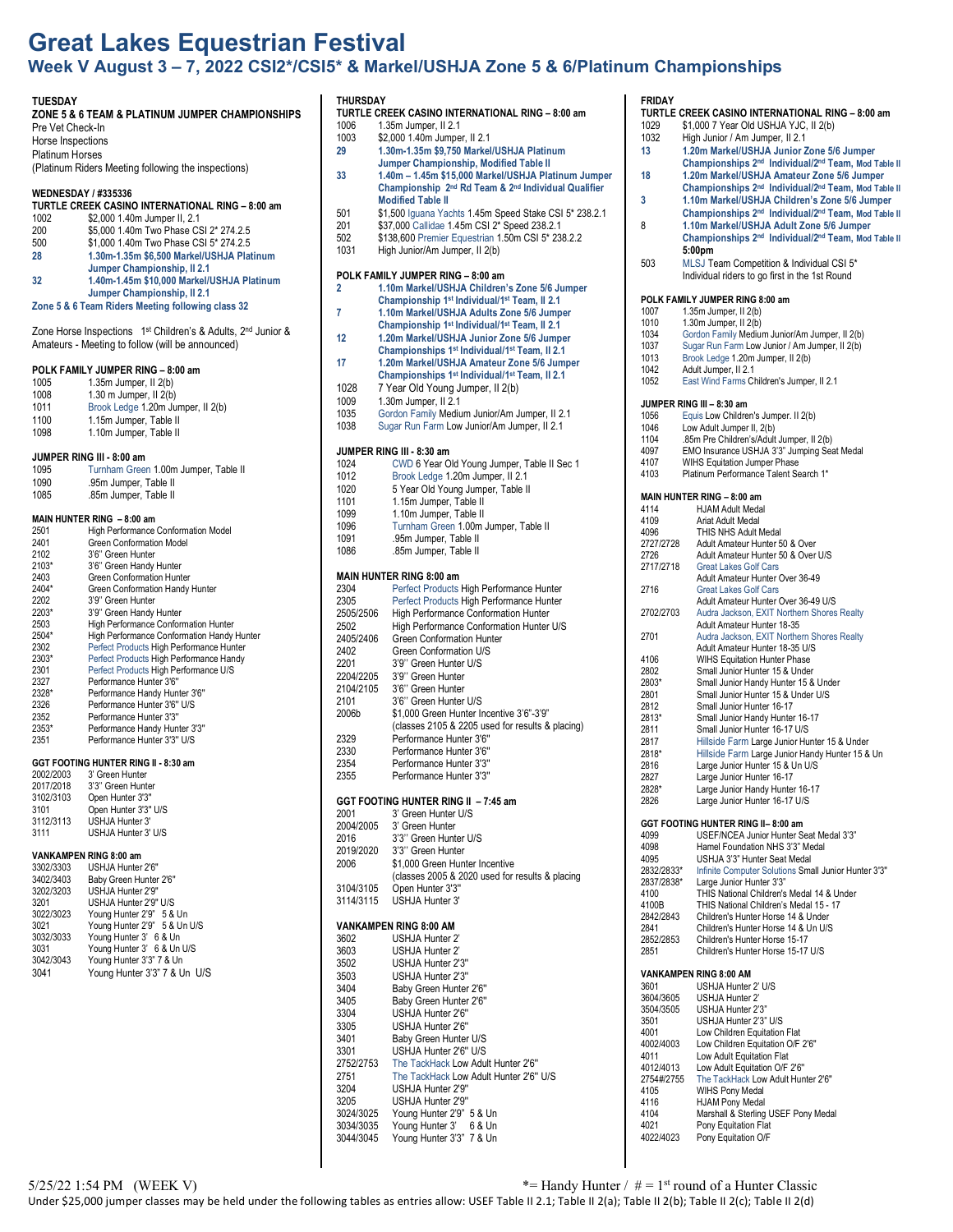## **Great Lakes Equestrian Festival Week V August 3 – 7, 2022 CSI2\*/CSI5\* & Markel/USHJA Zone 5 & 6/Platinum Championships**

### **TUESDAY**

## **ZONE 5 & 6 TEAM & PLATINUM JUMPER CHAMPIONSHIPS**

#### Pre Vet Check-In Horse Inspections

Platinum Horses (Platinum Riders Meeting following the inspections)

**WEDNESDAY / #335336**

# **TURTLE CREEK CASINO INTERNATIONAL RING – 8:00 am**

- 1002 \$2,000 1.40m Jumper II, 2.1<br>200 \$5,000 1.40m Two Phase CS 200 \$5,000 1.40m Two Phase CSI 2\* 274.2.5
- 500 \$1,000 1.40m Two Phase CSI 5\* 274.2.5 **28 1.30m-1.35m \$6,500 Markel/USHJA Platinum**
- **Jumper Championship, II 2.1 32 1.40m-1.45m \$10,000 Markel/USHJA Platinum**
- **Jumper Championship, II 2.1**

### **Zone 5 & 6 Team Riders Meeting following class 32**

Zone Horse Inspections 1st Children's & Adults, 2nd Junior & Amateurs - Meeting to follow (will be announced)

### **POLK FAMILY JUMPER RING – 8:00 am**

| 1005 | $1.35m$ Jumper, II $2(b)$         |
|------|-----------------------------------|
| 1008 | $1.30$ m Jumper, II $2(b)$        |
| 1011 | Brook Ledge 1.20m Jumper, II 2(b) |
| 1100 | 1.15m Jumper, Table II            |
| 1098 | 1.10m Jumper. Table II            |

### **JUMPER RING III - 8:00 am**

| 1095                       | Turnham Green 1.00m Jumper, Table II |  |
|----------------------------|--------------------------------------|--|
| 1090                       | .95m Jumper, Table II                |  |
| 1085                       | .85m Jumper, Table II                |  |
|                            |                                      |  |
| MAIN HUNTER RING - 8:00 am |                                      |  |
| 2501                       | High Performance Conformation Model  |  |
| 0.404                      |                                      |  |

| 2401                         | Green Conformation Model                   |
|------------------------------|--------------------------------------------|
| 2102                         | 3'6" Green Hunter                          |
| $2103*$                      | 3'6" Green Handy Hunter                    |
| 2403                         | <b>Green Conformation Hunter</b>           |
| 2404*                        | Green Conformation Handy Hunter            |
| 2202                         | 3'9" Green Hunter                          |
| 2203*                        | 3'9" Green Handy Hunter                    |
| 2503                         | High Performance Conformation Hunter       |
| 2504*                        | High Performance Conformation Handy Hunter |
| 2302                         | Perfect Products High Performance Hunter   |
| 2303*                        | Perfect Products High Performance Handy    |
| 2301                         | Perfect Products High Performance U/S      |
| 2327                         | Performance Hunter 3'6"                    |
| 2328*                        | Performance Handy Hunter 3'6"              |
| 2326                         | Performance Hunter 3'6" U/S                |
| 2352                         | Performance Hunter 3'3"                    |
| 2353*                        | Performance Handy Hunter 3'3"              |
| 2351                         | Performance Hunter 3'3" U/S                |
| ____________________________ |                                            |

### **GGT FOOTING HUNTER RING II - 8:30 am**

| 2002/2003 | 3' Green Hunter      |
|-----------|----------------------|
| 2017/2018 | 3'3" Green Hunter    |
| 3102/3103 | Open Hunter 3'3"     |
| 3101      | Open Hunter 3'3" U/S |
| 3112/3113 | USHJA Hunter 3'      |
| 3111      | USHJA Hunter 3' U/S  |
|           |                      |

## **VANKAMPEN RING 8:00 am**

| 3302/3303 | USHJA Hunter 2'6"            |
|-----------|------------------------------|
| 3402/3403 | Baby Green Hunter 2'6"       |
| 3202/3203 | USHJA Hunter 2'9"            |
| 3201      | USHJA Hunter 2'9" U/S        |
| 3022/3023 | Young Hunter 2'9" 5 & Un     |
| 3021      | Young Hunter 2'9" 5 & Un U/S |
| 3032/3033 | Young Hunter 3' 6 & Un       |
| 3031      | Young Hunter 3' 6 & Un U/S   |
| 3042/3043 | Young Hunter 3'3" 7 & Un     |
| 3041      | Young Hunter 3'3" 7 & Un U/S |

## **THURSDAY**

|      | TURTLE CREEK CASINO INTERNATIONAL RING - 8:00 am |
|------|--------------------------------------------------|
| 1006 | 1.35m Jumper, II 2.1                             |

- 1003 \$2,000 1.40m Jumper, II 2.1
- **29 1.30m-1.35m \$9,750 Markel/USHJA Platinum Jumper Championship, Modified Table II**
- **33 1.40m – 1.45m \$15,000 Markel/USHJA Platinum Jumper Championship 2nd Rd Team & 2nd Individual Qualifier Modified Table II**
- 501 \$1,500 Iguana Yachts 1.45m Speed Stake CSI 5<sup>\*</sup> 238.2.1<br>201 \$37,000 Callidae 1.45m CSI 2<sup>\*</sup> Speed 238.2.1
- 201  $$37,000$  Callidae 1.45m CSI  $2^*$  Speed 238.2.1<br>502  $$138,600$  Premier Equestrian 1.50m CSL 5\* 23
- 502 \$138,600 Premier Equestrian 1.50m CSI 5\* 238.2.2
- High Junior/Am Jumper, II 2(b)

# **POLK FAMILY JUMPER RING – 8:00 am**

- **2 1.10m Markel/USHJA Children's Zone 5/6 Jumper Championship 1st Individual/1st Team, II 2.1 7 1.10m Markel/USHJA Adults Zone 5/6 Jumper Championship 1st Individual/1st Team, II 2.1**
- **12 1.20m Markel/USHJA Junior Zone 5/6 Jumper Championships 1st Individual/1st Team, II 2.1**
- **17 1.20m Markel/USHJA Amateur Zone 5/6 Jumper Championships 1st Individual/1st Team, II 2.1**
- 1028 7 Year Old Young Jumper, Il 2(b)
- 1.30 $m$  Jumper, II  $2.1$
- 
- 1035 Gordon Family Medium Junior/Am Jumper, II 2.1 Sugar Run Farm Low Junior/Am Jumper, II 2.1

### **JUMPER RING III - 8:30 am**

| 1024 | CWD 6 Year Old Young Jumper, Table II Sec 1 |
|------|---------------------------------------------|
| 1012 | Brook Ledge 1.20m Jumper, II 2.1            |
| 1020 | 5 Year Old Young Jumper, Table II           |
| 1101 | 1.15m Jumper, Table II                      |
| 1099 | 1.10m Jumper, Table II                      |
| 1096 | Turnham Green 1.00m Jumper, Table II        |
| 1091 | .95m Jumper, Table II                       |
| 1086 | .85m Jumper, Table II                       |
|      |                                             |

### **MAIN HUNTER RING 8:00 am**

| 2304      |                                                  |
|-----------|--------------------------------------------------|
|           | Perfect Products High Performance Hunter         |
| 2305      | Perfect Products High Performance Hunter         |
| 2505/2506 | <b>High Performance Conformation Hunter</b>      |
| 2502      | High Performance Conformation Hunter U/S         |
| 2405/2406 | <b>Green Conformation Hunter</b>                 |
| 2402      | Green Conformation U/S                           |
| 2201      | 3'9" Green Hunter U/S                            |
| 2204/2205 | 3'9" Green Hunter                                |
| 2104/2105 | 3'6" Green Hunter                                |
| 2101      | 3'6" Green Hunter U/S                            |
| 2006b     | \$1,000 Green Hunter Incentive 3'6"-3'9"         |
|           | (classes 2105 & 2205 used for results & placing) |
| 2329      | Performance Hunter 3'6"                          |
| 2330      | Performance Hunter 3'6"                          |
| 2354      | Performance Hunter 3'3"                          |
| 2355      | Performance Hunter 3'3"                          |
|           |                                                  |

### **GGT FOOTING HUNTER RING II – 7:45 am**

| 2001      | 3' Green Hunter U/S                             |
|-----------|-------------------------------------------------|
| 2004/2005 | 3' Green Hunter                                 |
| 2016      | 3'3" Green Hunter U/S                           |
| 2019/2020 | 3'3" Green Hunter                               |
| 2006      | \$1,000 Green Hunter Incentive                  |
|           | (classes 2005 & 2020 used for results & placing |
| 3104/3105 | Open Hunter 3'3"                                |
| 3114/3115 | USHJA Hunter 3'                                 |
|           |                                                 |

### **VANKAMPEN RING 8:00 AM**

|           | <u>VAIVINAIVILLIVUUNINU U.UU AIVI</u>  |
|-----------|----------------------------------------|
| 3602      | USHJA Hunter 2'                        |
| 3603      | USHJA Hunter 2'                        |
| 3502      | USHJA Hunter 2'3"                      |
| 3503      | USHJA Hunter 2'3"                      |
| 3404      | Baby Green Hunter 2'6"                 |
| 3405      | Baby Green Hunter 2'6"                 |
| 3304      | USHJA Hunter 2'6"                      |
| 3305      | USHJA Hunter 2'6"                      |
| 3401      | Baby Green Hunter U/S                  |
| 3301      | USHJA Hunter 2'6" U/S                  |
| 2752/2753 | The TackHack Low Adult Hunter 2'6"     |
| 2751      | The TackHack Low Adult Hunter 2'6" U/S |
| 3204      | USHJA Hunter 2'9"                      |
| 3205      | USHJA Hunter 2'9"                      |
| 3024/3025 | Young Hunter 2'9" 5 & Un               |
| 3034/3035 | Young Hunter 3' 6 & Un                 |
| 3044/3045 | Young Hunter 3'3" 7 & Un               |

### **FRIDAY**

- **TURTLE CREEK CASINO INTERNATIONAL RING – 8:00 am**
- 1029 \$1,000 7 Year Old USHJA YJC, II 2(b)
- 1032 High Junior / Am Jumper, II 2.1<br>13 120m Markel/USHJA Junior 7 **13 1.20m Markel/USHJA Junior Zone 5/6 Jumper**
- **Championships 2nd Individual/2nd Team, Mod Table II 18 1.20m Markel/USHJA Amateur Zone 5/6 Jumper**
- **Championships 2nd Individual/2nd Team, Mod Table II 3 1.10m Markel/USHJA Children's Zone 5/6 Jumper**
- **Championships 2nd Individual/2nd Team, Mod Table II** 8 **1.10m Markel/USHJA Adult Zone 5/6 Jumper**
- **Championships 2nd Individual/2nd Team, Mod Table II 5:00pm**
- 503 MLSJ Team Competition & Individual CSI 5\* Individual riders to go first in the 1st Round

### **POLK FAMILY JUMPER RING 8:00 am**

- 1007 1.35m Jumper, II 2(b)<br>1010 1.30m Jumper, II 2(b)
- $1.30m$  Jumper, II  $2(b)$
- 1034 Gordon Family Medium Junior/Am Jumper, II 2(b)
- 1037 Sugar Run Farm Low Junior / Am Jumper, II 2(b)<br>1013 Brook Ledge 1.20m Jumper, II 2(b)
- 1013 Brook Ledge 1.20m Jumper, II 2(b)<br>1013 Brook Ledge 1.20m Jumper, II 2(b)
- 1042 Adult Jumper, II 2.1<br>1052 East Wind Farms Ch East Wind Farms Children's Jumper, II 2.1

#### **JUMPER RING III – 8:30 am**

- 1056 Equis Low Children's Jumper. Il 2(b)<br>1046 Low Adult Jumper II, 2(b)
- 1046 Low Adult Jumper II, 2(b)<br>1104 .85m Pre Children's/Adult
- 1104 .85m Pre Children's/Adult Jumper, II 2(b)
- 4097 EMO Insurance USHJA 3'3" Jumping Seat Medal
- 4107 WIHS Equitation Jumper Phase<br>4103 Platinum Performance Talent Se Platinum Performance Talent Search 1\*

|           | <b>MAIN HUNTER RING - 8:00 am</b>               |
|-----------|-------------------------------------------------|
| 4114      | <b>HJAM Adult Medal</b>                         |
| 4109      | Ariat Adult Medal                               |
| 4096      | THIS NHS Adult Medal                            |
| 2727/2728 | Adult Amateur Hunter 50 & Over                  |
| 2726      | Adult Amateur Hunter 50 & Over U/S              |
| 2717/2718 | <b>Great Lakes Golf Cars</b>                    |
|           | Adult Amateur Hunter Over 36-49                 |
| 2716      | <b>Great Lakes Golf Cars</b>                    |
|           | Adult Amateur Hunter Over 36-49 U/S             |
| 2702/2703 | Audra Jackson, EXIT Northern Shores Realty      |
|           | Adult Amateur Hunter 18-35                      |
| 2701      | Audra Jackson, EXIT Northern Shores Realty      |
|           | Adult Amateur Hunter 18-35 U/S                  |
| 4106      | <b>WIHS Equitation Hunter Phase</b>             |
| 2802      | Small Junior Hunter 15 & Under                  |
| 2803*     | Small Junior Handy Hunter 15 & Under            |
| 2801      | Small Junior Hunter 15 & Under U/S              |
| 2812      | Small Junior Hunter 16-17                       |
| 2813*     | Small Junior Handy Hunter 16-17                 |
| 2811      | Small Junior Hunter 16-17 U/S                   |
| 2817      | Hillside Farm Large Junior Hunter 15 & Under    |
| 2818*     | Hillside Farm Large Junior Handy Hunter 15 & Un |
| 2816      | Large Junior Hunter 15 & Un U/S                 |
| 2827      | Large Junior Hunter 16-17                       |
| 2828*     | Large Junior Handy Hunter 16-17                 |
| 2826      | Large Junior Hunter 16-17 U/S                   |
|           |                                                 |

### **GGT FOOTING HUNTER RING II– 8:00 am**

|            | 991   991   1991   911   EN INITO II= 0.00 AIII      |
|------------|------------------------------------------------------|
| 4099       | USEF/NCEA Junior Hunter Seat Medal 3'3"              |
| 4098       | Hamel Foundation NHS 3'3" Medal                      |
| 4095       | USHJA 3'3" Hunter Seat Medal                         |
| 2832/2833* | Infinite Computer Solutions Small Junior Hunter 3'3" |
| 2837/2838* | Large Junior Hunter 3'3"                             |
| 4100       | THIS National Children's Medal 14 & Under            |
| 4100B      | THIS National Children's Medal 15 - 17               |
| 2842/2843  | Children's Hunter Horse 14 & Under                   |
| 2841       | Children's Hunter Horse 14 & Un U/S                  |
| 2852/2853  | Children's Hunter Horse 15-17                        |
| 2851       | Children's Hunter Horse 15-17 U/S                    |
|            |                                                      |

### **VANKAMPEN RING 8:00 AM**

| 3601       | USHJA Hunter 2' U/S                 |
|------------|-------------------------------------|
| 3604/3605  | USHJA Hunter 2"                     |
| 3504/3505  | USHJA Hunter 2'3"                   |
| 3501       | USHJA Hunter 2'3" U/S               |
| 4001       | Low Children Equitation Flat        |
| 4002/4003  | Low Children Equitation O/F 2'6"    |
| 4011       | Low Adult Equitation Flat           |
| 4012/4013  | Low Adult Equitation O/F 2'6"       |
| 2754#/2755 | The TackHack Low Adult Hunter 2'6"  |
| 4105       | <b>WIHS Pony Medal</b>              |
| 4116       | <b>HJAM Pony Medal</b>              |
| 4104       | Marshall & Sterling USEF Pony Medal |
| 4021       | Pony Equitation Flat                |
| 4022/4023  | Pony Equitation O/F                 |
|            |                                     |